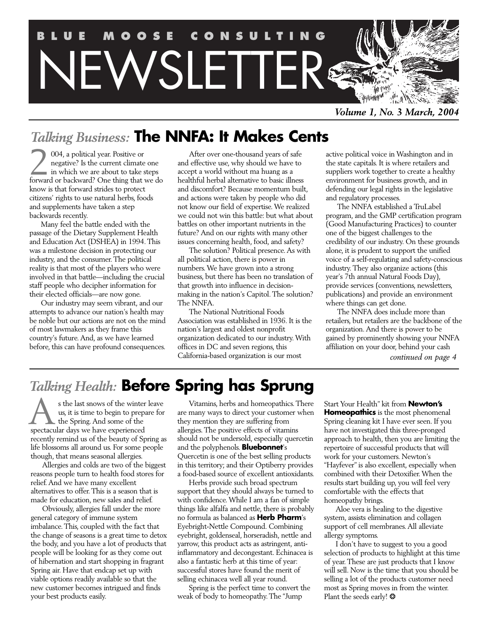

*Volume 1, No. 3 March, 2004*

# *Talking Business:* **The NNFA: It Makes Cents**

004, a political year. Positive or negative? Is the current climate one in which we are about to take steps **forward or backward?** One thing that we do in which we are about to take steps forward or backward? One thing that we do know is that forward strides to protect citizens' rights to use natural herbs, foods and supplements have taken a step backwards recently.

Many feel the battle ended with the passage of the Dietary Supplement Health and Education Act (DSHEA) in 1994.This was a milestone decision in protecting our industry, and the consumer.The political reality is that most of the players who were involved in that battle—including the crucial staff people who decipher information for their elected officials—are now gone.

Our industry may seem vibrant, and our attempts to advance our nation's health may be noble but our actions are not on the mind of most lawmakers as they frame this country's future.And, as we have learned before, this can have profound consequences.

After over one-thousand years of safe and effective use, why should we have to accept a world without ma huang as a healthful herbal alternative to basic illness and discomfort? Because momentum built, and actions were taken by people who did not know our field of expertise.We realized we could not win this battle: but what about battles on other important nutrients in the future? And on our rights with many other issues concerning health, food, and safety?

The solution? Political presence.As with all political action, there is power in numbers.We have grown into a strong business, but there has been no translation of that growth into influence in decisionmaking in the nation's Capitol.The solution? The NNFA.

The National Nutritional Foods Association was established in 1936. It is the nation's largest and oldest nonprofit organization dedicated to our industry.With offices in DC and seven regions, this California-based organization is our most

active political voice in Washington and in the state capitals. It is where retailers and suppliers work together to create a healthy environment for business growth, and in defending our legal rights in the legislative and regulatory processes.

The NNFA established a TruLabel program, and the GMP certification program (Good Manufacturing Practices) to counter one of the biggest challenges to the credibility of our industry. On these grounds alone, it is prudent to support the unified voice of a self-regulating and safety-conscious industry.They also organize actions (this year's 7th annual Natural Foods Day), provide services (conventions, newsletters, publications) and provide an environment where things can get done.

The NNFA does include more than retailers, but retailers are the backbone of the organization.And there is power to be gained by prominently showing your NNFA affiliation on your door, behind your cash *continued on page 4*

# *Talking Health:* **Before Spring has Sprung**

s the last snows of the winter leave us, it is time to begin to prepare for **L** the Spring. And some of the s the last snows of the winter<br>us, it is time to begin to prep<br>the Spring. And some of the<br>spectacular days we have experienced recently remind us of the beauty of Spring as life blossoms all around us. For some people though, that means seasonal allergies.

Allergies and colds are two of the biggest reasons people turn to health food stores for relief.And we have many excellent alternatives to offer.This is a season that is made for education, new sales and relief.

Obviously, allergies fall under the more general category of immune system imbalance.This, coupled with the fact that the change of seasons is a great time to detox the body, and you have a lot of products that people will be looking for as they come out of hibernation and start shopping in fragrant Spring air. Have that endcap set up with viable options readily available so that the new customer becomes intrigued and finds your best products easily.

Vitamins, herbs and homeopathics.There are many ways to direct your customer when they mention they are suffering from allergies.The positive effects of vitamins should not be undersold, especially quercetin and the polyphenols. **Bluebonnet**'s Quercetin is one of the best selling products in this territory; and their Optiberry provides a food-based source of excellent antioxidants.

Herbs provide such broad spectrum support that they should always be turned to with confidence.While I am a fan of simple things like alfalfa and nettle, there is probably no formula as balanced as **Herb Pharm**'s Eyebright-Nettle Compound. Combining eyebright, goldenseal, horseradish, nettle and yarrow, this product acts as astringent, antiinflammatory and decongestant. Echinacea is also a fantastic herb at this time of year: successful stores have found the merit of selling echinacea well all year round.

Spring is the perfect time to convert the weak of body to homeopathy.The "Jump

Start Your Health" kit from **Newton's Homeopathics** is the most phenomenal Spring cleaning kit I have ever seen. If you have not investigated this three-pronged approach to health, then you are limiting the repertoire of successful products that will work for your customers. Newton's "Hayfever" is also excellent, especially when combined with their Detoxifier.When the results start building up, you will feel very comfortable with the effects that homeopathy brings.

Aloe vera is healing to the digestive system, assists elimination and collagen support of cell membranes.All alleviate allergy symptoms.

I don't have to suggest to you a good selection of products to highlight at this time of year.These are just products that I know will sell. Now is the time that you should be selling a lot of the products customer need most as Spring moves in from the winter. Plant the seeds early! \*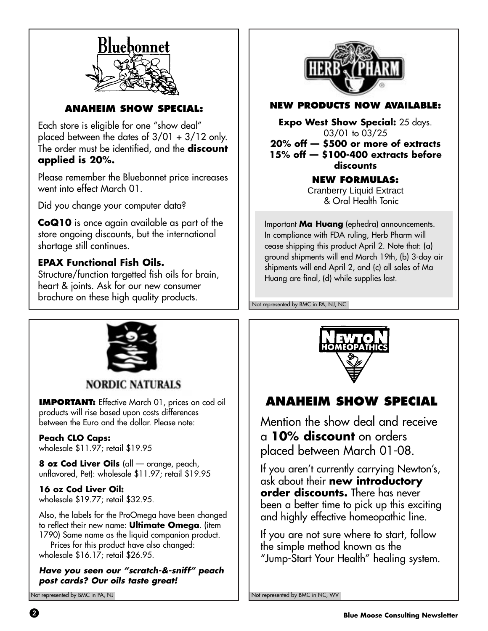

**ANAHEIM SHOW SPECIAL:**

Each store is eligible for one "show deal" placed between the dates of 3/01 + 3/12 only. The order must be identified, and the **discount applied is 20%.**

Please remember the Bluebonnet price increases went into effect March 01.

Did you change your computer data?

**CoQ10** is once again available as part of the store ongoing discounts, but the international shortage still continues.

# **EPAX Functional Fish Oils.**

Structure/function targetted fish oils for brain, heart & joints. Ask for our new consumer brochure on these high quality products.



# **NEW PRODUCTS NOW AVAILABLE:**

**Expo West Show Special:** 25 days. 03/01 to 03/25 **20% off — \$500 or more of extracts 15% off — \$100-400 extracts before discounts**

## **NEW FORMULAS:**

Cranberry Liquid Extract & Oral Health Tonic

Important **Ma Huang** (ephedra) announcements. In compliance with FDA ruling, Herb Pharm will cease shipping this product April 2. Note that: (a) ground shipments will end March 19th, (b) 3-day air shipments will end April 2, and (c) all sales of Ma Huang are final, (d) while supplies last.

Not represented by BMC in PA, NJ, NC



**NORDIC NATURALS** 

**IMPORTANT:** Effective March 01, prices on cod oil products will rise based upon costs differences between the Euro and the dollar. Please note:

**Peach CLO Caps:** wholesale \$11.97; retail \$19.95

**8 oz Cod Liver Oils** (all — orange, peach, unflavored, Pet): wholesale \$11.97; retail \$19.95

# **16 oz Cod Liver Oil:**

wholesale \$19.77; retail \$32.95.

Also, the labels for the ProOmega have been changed to reflect their new name: **Ultimate Omega**. (item 1790) Same name as the liquid companion product.

Prices for this product have also changed: wholesale \$16.17; retail \$26.95.

## **Have you seen our "scratch-&-sniff" peach post cards? Our oils taste great!**

Not represented by BMC in PA, NJ



# **ANAHEIM SHOW SPECIAL**

Mention the show deal and receive a **10% discount** on orders placed between March 01-08.

If you aren't currently carrying Newton's, ask about their **new introductory order discounts.** There has never been a better time to pick up this exciting and highly effective homeopathic line.

If you are not sure where to start, follow the simple method known as the "Jump-Start Your Health" healing system.

Not represented by BMC in NC, WV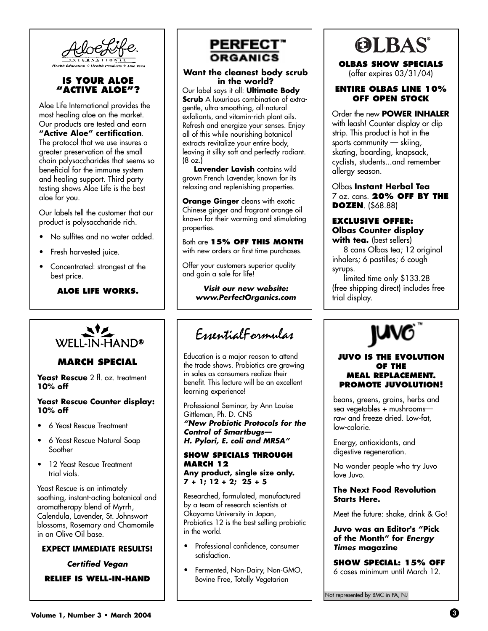

## **IS YOUR ALOE "ACTIVE ALOE"?**

Aloe Life International provides the most healing aloe on the market. Our products are tested and earn **"Active Aloe" certification**. The protocol that we use insures a greater preservation of the small chain polysaccharides that seems so beneficial for the immune system and healing support. Third party testing shows Aloe Life is the best aloe for you.

Our labels tell the customer that our product is polysaccharide rich.

- No sulfites and no water added.
- Fresh harvested juice.
- Concentrated: strongest at the best price.

## **ALOE LIFE WORKS.**



## **MARCH SPECIAL**

Yeast Rescue 2 fl. oz. treatment **10% off**

#### **Yeast Rescue Counter display: 10% off**

- 6 Yeast Rescue Treatment
- 6 Yeast Rescue Natural Soap Soother
- 12 Yeast Rescue Treatment trial vials.

Yeast Rescue is an intimately soothing, instant-acting botanical and aromatherapy blend of Myrrh, Calendula, Lavender, St. Johnswort blossoms, Rosemary and Chamomile in an Olive Oil base.

### **EXPECT IMMEDIATE RESULTS!**

**Certified Vegan**

**RELIEF IS WELL-IN-HAND**



### **Want the cleanest body scrub in the world?**

Our label says it all: **Ultimate Body Scrub** A luxurious combination of extragentle, ultra-smoothing, all-natural exfoliants, and vitamin-rich plant oils. Refresh and energize your senses. Enjoy all of this while nourishing botanical extracts revitalize your entire body, leaving it silky soft and perfectly radiant.  $(8 \text{ oz.})$ 

**Lavender Lavish** contains wild grown French Lavender, known for its relaxing and replenishing properties.

**Orange Ginger** cleans with exotic Chinese ginger and fragrant orange oil known for their warming and stimulating properties.

Both are **15% OFF THIS MONTH** with new orders or first time purchases.

Offer your customers superior quality and gain a sale for life!

> **Visit our new website: www.PerfectOrganics.com**

# EssentialFormulas

Education is a major reason to attend the trade shows. Probiotics are growing in sales as consumers realize their benefit. This lecture will be an excellent learning experience!

Professional Seminar, by Ann Louise Gittleman, Ph. D. CNS **"New Probiotic Protocols for the Control of Smartbugs— H. Pylori, E. coli and MRSA"**

#### **SHOW SPECIALS THROUGH MARCH 12 Any product, single size only.**

**7 + 1; 12 + 2; 25 + 5**

Researched, formulated, manufactured by a team of research scientists at Okayama University in Japan, Probiotics 12 is the best selling probiotic in the world.

- Professional confidence, consumer satisfaction.
- Fermented, Non-Dairy, Non-GMO, Bovine Free, Totally Vegetarian



**OLBAS SHOW SPECIALS** (offer expires 03/31/04)

## **ENTIRE OLBAS LINE 10% OFF OPEN STOCK**

Order the new **POWER INHALER** with leash! Counter display or clip strip. This product is hot in the sports community — skiing, skating, boarding, knapsack, cyclists, students...and remember allergy season.

Olbas **Instant Herbal Tea** 7 oz. cans. **20% OFF BY THE DOZEN**. (\$68.88)

### **EXCLUSIVE OFFER: Olbas Counter display with tea.** (best sellers)

8 cans Olbas tea; 12 original inhalers; 6 pastilles; 6 cough syrups.

limited time only \$133.28 (free shipping direct) includes free trial display.



#### **JUVO IS THE EVOLUTION OF THE MEAL REPLACEMENT. PROMOTE JUVOLUTION!**

beans, greens, grains, herbs and sea vegetables + mushrooms raw and freeze dried. Low-fat, low-calorie.

Energy, antioxidants, and digestive regeneration.

No wonder people who try Juvo love Juvo.

### **The Next Food Revolution Starts Here.**

Meet the future: shake, drink & Go!

**Juvo was an Editor's "Pick of the Month" for Energy Times magazine**

**SHOW SPECIAL: 15% OFF** 6 cases minimum until March 12.

Not represented by BMC in PA, NJ